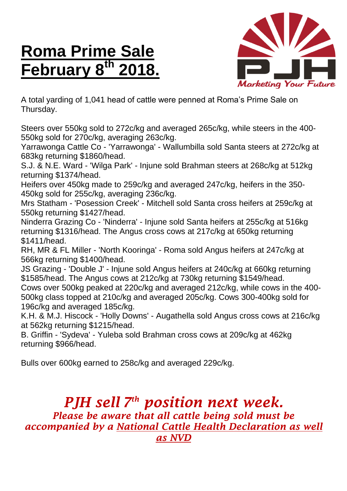## **Roma Prime Sale February 8 th 2018.**



A total yarding of 1,041 head of cattle were penned at Roma's Prime Sale on Thursday.

Steers over 550kg sold to 272c/kg and averaged 265c/kg, while steers in the 400- 550kg sold for 270c/kg, averaging 263c/kg.

Yarrawonga Cattle Co - 'Yarrawonga' - Wallumbilla sold Santa steers at 272c/kg at 683kg returning \$1860/head.

S.J. & N.E. Ward - 'Wilga Park' - Injune sold Brahman steers at 268c/kg at 512kg returning \$1374/head.

Heifers over 450kg made to 259c/kg and averaged 247c/kg, heifers in the 350- 450kg sold for 255c/kg, averaging 236c/kg.

Mrs Statham - 'Posession Creek' - Mitchell sold Santa cross heifers at 259c/kg at 550kg returning \$1427/head.

Ninderra Grazing Co - 'Ninderra' - Injune sold Santa heifers at 255c/kg at 516kg returning \$1316/head. The Angus cross cows at 217c/kg at 650kg returning \$1411/head.

RH, MR & FL Miller - 'North Kooringa' - Roma sold Angus heifers at 247c/kg at 566kg returning \$1400/head.

JS Grazing - 'Double J' - Injune sold Angus heifers at 240c/kg at 660kg returning \$1585/head. The Angus cows at 212c/kg at 730kg returning \$1549/head.

Cows over 500kg peaked at 220c/kg and averaged 212c/kg, while cows in the 400- 500kg class topped at 210c/kg and averaged 205c/kg. Cows 300-400kg sold for 196c/kg and averaged 185c/kg.

K.H. & M.J. Hiscock - 'Holly Downs' - Augathella sold Angus cross cows at 216c/kg at 562kg returning \$1215/head.

B. Griffin - 'Sydeva' - Yuleba sold Brahman cross cows at 209c/kg at 462kg returning \$966/head.

Bulls over 600kg earned to 258c/kg and averaged 229c/kg.

## *PJH sell 7 th position next week. Please be aware that all cattle being sold must be accompanied by a National Cattle Health Declaration as well as NVD*